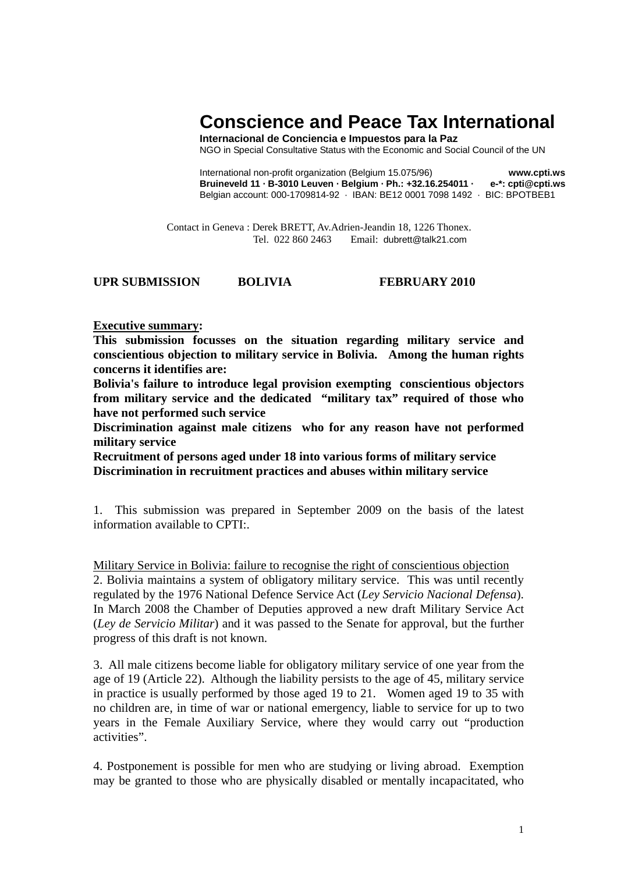# **Conscience and Peace Tax International**

**Internacional de Conciencia e Impuestos para la Paz** NGO in Special Consultative Status with the Economic and Social Council of the UN

International non-profit organization (Belgium 15.075/96) **www.cpti.ws Bruineveld 11 · B-3010 Leuven · Belgium · Ph.: +32.16.254011 · e-\*: cpti@cpti.ws**  Belgian account: 000-1709814-92 · IBAN: BE12 0001 7098 1492 · BIC: BPOTBEB1

 Contact in Geneva : Derek BRETT, Av.Adrien-Jeandin 18, 1226 Thonex. Tel. 022 860 2463 Email: dubrett@talk21.com

# **UPR SUBMISSION BOLIVIA FEBRUARY 2010**

### **Executive summary:**

**This submission focusses on the situation regarding military service and conscientious objection to military service in Bolivia. Among the human rights concerns it identifies are:** 

**Bolivia's failure to introduce legal provision exempting conscientious objectors from military service and the dedicated "military tax" required of those who have not performed such service** 

**Discrimination against male citizens who for any reason have not performed military service** 

**Recruitment of persons aged under 18 into various forms of military service Discrimination in recruitment practices and abuses within military service** 

1. This submission was prepared in September 2009 on the basis of the latest information available to CPTI:.

Military Service in Bolivia: failure to recognise the right of conscientious objection 2. Bolivia maintains a system of obligatory military service. This was until recently regulated by the 1976 National Defence Service Act (*Ley Servicio Nacional Defensa*). In March 2008 the Chamber of Deputies approved a new draft Military Service Act (*Ley de Servicio Militar*) and it was passed to the Senate for approval, but the further progress of this draft is not known.

3. All male citizens become liable for obligatory military service of one year from the age of 19 (Article 22). Although the liability persists to the age of 45, military service in practice is usually performed by those aged 19 to 21. Women aged 19 to 35 with no children are, in time of war or national emergency, liable to service for up to two years in the Female Auxiliary Service, where they would carry out "production activities".

4. Postponement is possible for men who are studying or living abroad. Exemption may be granted to those who are physically disabled or mentally incapacitated, who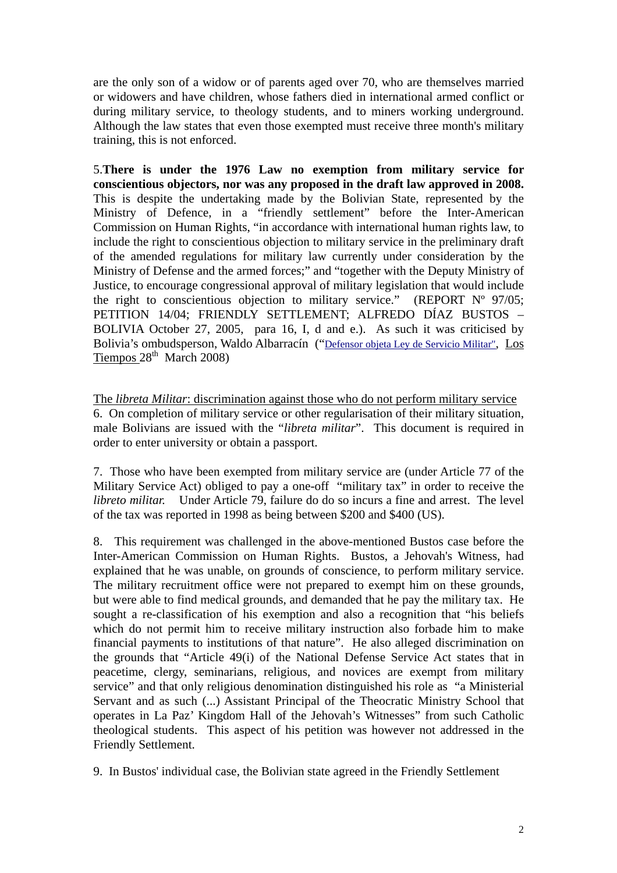are the only son of a widow or of parents aged over 70, who are themselves married or widowers and have children, whose fathers died in international armed conflict or during military service, to theology students, and to miners working underground. Although the law states that even those exempted must receive three month's military training, this is not enforced.

5.**There is under the 1976 Law no exemption from military service for conscientious objectors, nor was any proposed in the draft law approved in 2008.**  This is despite the undertaking made by the Bolivian State, represented by the Ministry of Defence, in a "friendly settlement" before the Inter-American Commission on Human Rights, "in accordance with international human rights law, to include the right to conscientious objection to military service in the preliminary draft of the amended regulations for military law currently under consideration by the Ministry of Defense and the armed forces;" and "together with the Deputy Ministry of Justice, to encourage congressional approval of military legislation that would include the right to conscientious objection to military service." (REPORT  $N^{\circ}$  97/05; PETITION 14/04; FRIENDLY SETTLEMENT; ALFREDO DÍAZ BUSTOS – BOLIVIA October 27, 2005, para 16, I, d and e.). As such it was criticised by Bolivia's ombudsperson, Waldo Albarracín (["Defensor objeta Ley de Servicio Militar"](http://www.lostiempos.com/noticias/28-03-08/28_03_08_nac6.php), Los Tiempos  $28<sup>th</sup>$  March 2008)

The *libreta Militar*: discrimination against those who do not perform military service 6. On completion of military service or other regularisation of their military situation, male Bolivians are issued with the "*libreta militar*". This document is required in order to enter university or obtain a passport.

7. Those who have been exempted from military service are (under Article 77 of the Military Service Act) obliged to pay a one-off "military tax" in order to receive the *libreto militar.* Under Article 79, failure do do so incurs a fine and arrest. The level of the tax was reported in 1998 as being between \$200 and \$400 (US).

8. This requirement was challenged in the above-mentioned Bustos case before the Inter-American Commission on Human Rights. Bustos, a Jehovah's Witness, had explained that he was unable, on grounds of conscience, to perform military service. The military recruitment office were not prepared to exempt him on these grounds, but were able to find medical grounds, and demanded that he pay the military tax. He sought a re-classification of his exemption and also a recognition that "his beliefs which do not permit him to receive military instruction also forbade him to make financial payments to institutions of that nature". He also alleged discrimination on the grounds that "Article 49(i) of the National Defense Service Act states that in peacetime, clergy, seminarians, religious, and novices are exempt from military service" and that only religious denomination distinguished his role as "a Ministerial Servant and as such (...) Assistant Principal of the Theocratic Ministry School that operates in La Paz' Kingdom Hall of the Jehovah's Witnesses" from such Catholic theological students. This aspect of his petition was however not addressed in the Friendly Settlement.

9. In Bustos' individual case, the Bolivian state agreed in the Friendly Settlement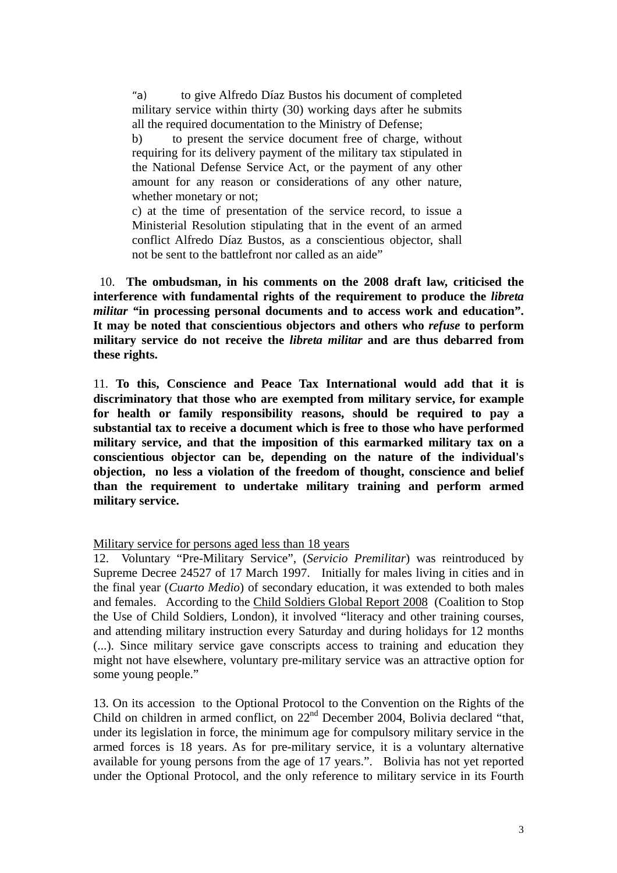"a) to give Alfredo Díaz Bustos his document of completed military service within thirty (30) working days after he submits all the required documentation to the Ministry of Defense;

b) to present the service document free of charge, without requiring for its delivery payment of the military tax stipulated in the National Defense Service Act, or the payment of any other amount for any reason or considerations of any other nature, whether monetary or not;

c) at the time of presentation of the service record, to issue a Ministerial Resolution stipulating that in the event of an armed conflict Alfredo Díaz Bustos, as a conscientious objector, shall not be sent to the battlefront nor called as an aide"

 10. **The ombudsman, in his comments on the 2008 draft law, criticised the interference with fundamental rights of the requirement to produce the** *libreta militar "***in processing personal documents and to access work and education". It may be noted that conscientious objectors and others who** *refuse* **to perform military service do not receive the** *libreta militar* **and are thus debarred from these rights.** 

11. **To this, Conscience and Peace Tax International would add that it is discriminatory that those who are exempted from military service, for example for health or family responsibility reasons, should be required to pay a substantial tax to receive a document which is free to those who have performed military service, and that the imposition of this earmarked military tax on a conscientious objector can be, depending on the nature of the individual's objection, no less a violation of the freedom of thought, conscience and belief than the requirement to undertake military training and perform armed military service.** 

Military service for persons aged less than 18 years

12. Voluntary "Pre-Military Service", (*Servicio Premilitar*) was reintroduced by Supreme Decree 24527 of 17 March 1997. Initially for males living in cities and in the final year (*Cuarto Medio*) of secondary education, it was extended to both males and females. According to the Child Soldiers Global Report 2008 (Coalition to Stop the Use of Child Soldiers, London), it involved "literacy and other training courses, and attending military instruction every Saturday and during holidays for 12 months (...). Since military service gave conscripts access to training and education they might not have elsewhere, voluntary pre-military service was an attractive option for some young people."

13. On its accession to the Optional Protocol to the Convention on the Rights of the Child on children in armed conflict, on 22<sup>nd</sup> December 2004, Bolivia declared "that, under its legislation in force, the minimum age for compulsory military service in the armed forces is 18 years. As for pre-military service, it is a voluntary alternative available for young persons from the age of 17 years.". Bolivia has not yet reported under the Optional Protocol, and the only reference to military service in its Fourth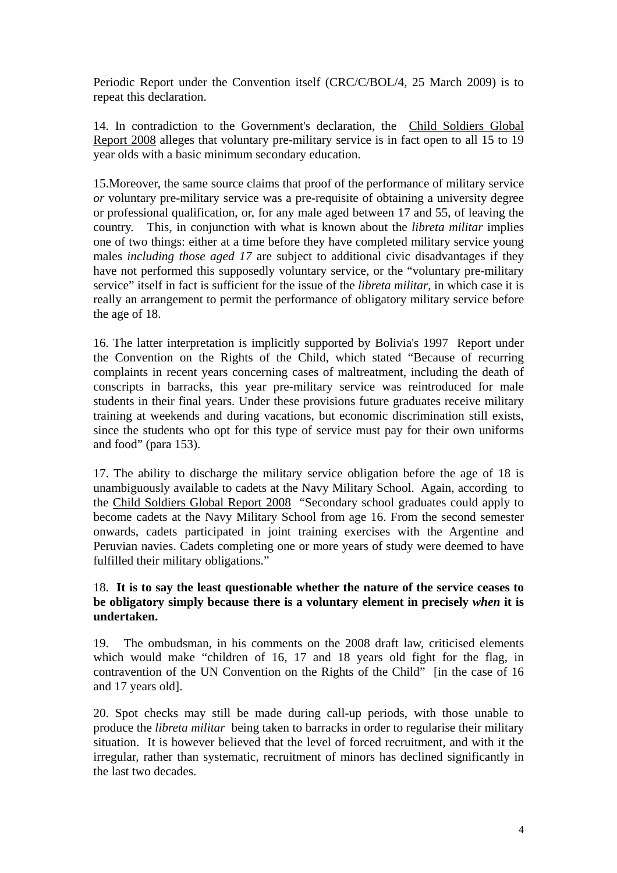Periodic Report under the Convention itself (CRC/C/BOL/4, 25 March 2009) is to repeat this declaration.

14. In contradiction to the Government's declaration, the Child Soldiers Global Report 2008 alleges that voluntary pre-military service is in fact open to all 15 to 19 year olds with a basic minimum secondary education.

15.Moreover, the same source claims that proof of the performance of military service *or* voluntary pre-military service was a pre-requisite of obtaining a university degree or professional qualification, or, for any male aged between 17 and 55, of leaving the country. This, in conjunction with what is known about the *libreta militar* implies one of two things: either at a time before they have completed military service young males *including those aged 17* are subject to additional civic disadvantages if they have not performed this supposedly voluntary service, or the "voluntary pre-military service" itself in fact is sufficient for the issue of the *libreta militar*, in which case it is really an arrangement to permit the performance of obligatory military service before the age of 18.

16. The latter interpretation is implicitly supported by Bolivia's 1997 Report under the Convention on the Rights of the Child, which stated "Because of recurring complaints in recent years concerning cases of maltreatment, including the death of conscripts in barracks, this year pre-military service was reintroduced for male students in their final years. Under these provisions future graduates receive military training at weekends and during vacations, but economic discrimination still exists, since the students who opt for this type of service must pay for their own uniforms and food" (para 153).

17. The ability to discharge the military service obligation before the age of 18 is unambiguously available to cadets at the Navy Military School. Again, according to the Child Soldiers Global Report 2008 "Secondary school graduates could apply to become cadets at the Navy Military School from age 16. From the second semester onwards, cadets participated in joint training exercises with the Argentine and Peruvian navies. Cadets completing one or more years of study were deemed to have fulfilled their military obligations."

# 18. **It is to say the least questionable whether the nature of the service ceases to be obligatory simply because there is a voluntary element in precisely** *when* **it is undertaken.**

19. The ombudsman, in his comments on the 2008 draft law, criticised elements which would make "children of 16, 17 and 18 years old fight for the flag, in contravention of the UN Convention on the Rights of the Child" [in the case of 16 and 17 years old].

20. Spot checks may still be made during call-up periods, with those unable to produce the *libreta militar* being taken to barracks in order to regularise their military situation. It is however believed that the level of forced recruitment, and with it the irregular, rather than systematic, recruitment of minors has declined significantly in the last two decades.